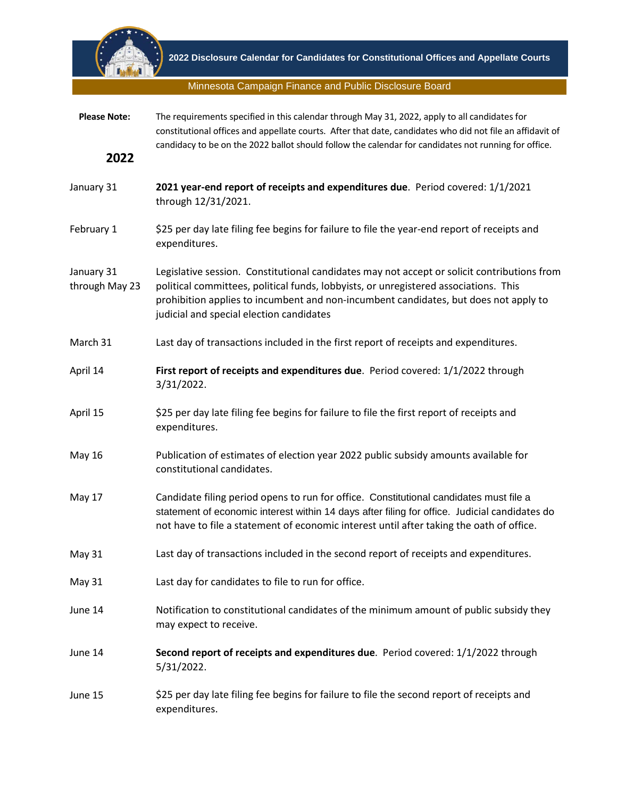

Minnesota Campaign Finance and Public Disclosure Board

| <b>Please Note:</b>          | The requirements specified in this calendar through May 31, 2022, apply to all candidates for<br>constitutional offices and appellate courts. After that date, candidates who did not file an affidavit of<br>candidacy to be on the 2022 ballot should follow the calendar for candidates not running for office.      |
|------------------------------|-------------------------------------------------------------------------------------------------------------------------------------------------------------------------------------------------------------------------------------------------------------------------------------------------------------------------|
| 2022                         |                                                                                                                                                                                                                                                                                                                         |
| January 31                   | 2021 year-end report of receipts and expenditures due. Period covered: 1/1/2021<br>through 12/31/2021.                                                                                                                                                                                                                  |
| February 1                   | \$25 per day late filing fee begins for failure to file the year-end report of receipts and<br>expenditures.                                                                                                                                                                                                            |
| January 31<br>through May 23 | Legislative session. Constitutional candidates may not accept or solicit contributions from<br>political committees, political funds, lobbyists, or unregistered associations. This<br>prohibition applies to incumbent and non-incumbent candidates, but does not apply to<br>judicial and special election candidates |
| March 31                     | Last day of transactions included in the first report of receipts and expenditures.                                                                                                                                                                                                                                     |
| April 14                     | First report of receipts and expenditures due. Period covered: 1/1/2022 through<br>3/31/2022.                                                                                                                                                                                                                           |
| April 15                     | \$25 per day late filing fee begins for failure to file the first report of receipts and<br>expenditures.                                                                                                                                                                                                               |
| <b>May 16</b>                | Publication of estimates of election year 2022 public subsidy amounts available for<br>constitutional candidates.                                                                                                                                                                                                       |
| May 17                       | Candidate filing period opens to run for office. Constitutional candidates must file a<br>statement of economic interest within 14 days after filing for office. Judicial candidates do<br>not have to file a statement of economic interest until after taking the oath of office.                                     |
| May 31                       | Last day of transactions included in the second report of receipts and expenditures.                                                                                                                                                                                                                                    |
| <b>May 31</b>                | Last day for candidates to file to run for office.                                                                                                                                                                                                                                                                      |
| June 14                      | Notification to constitutional candidates of the minimum amount of public subsidy they<br>may expect to receive.                                                                                                                                                                                                        |
| June 14                      | Second report of receipts and expenditures due. Period covered: 1/1/2022 through<br>5/31/2022.                                                                                                                                                                                                                          |
| June 15                      | \$25 per day late filing fee begins for failure to file the second report of receipts and<br>expenditures.                                                                                                                                                                                                              |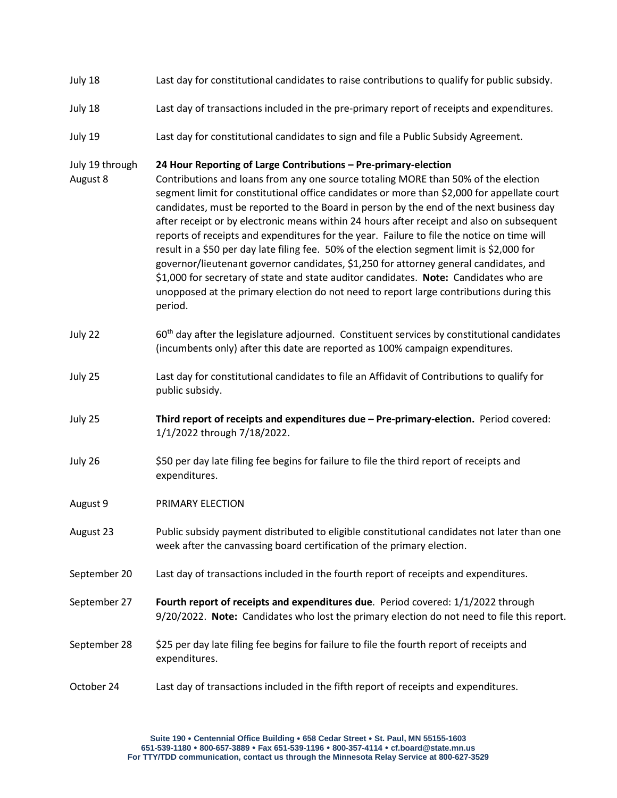- July 18 Last day for constitutional candidates to raise contributions to qualify for public subsidy.
- July 18 Last day of transactions included in the pre-primary report of receipts and expenditures.
- July 19 Last day for constitutional candidates to sign and file a Public Subsidy Agreement.

## July 19 through **24 Hour Reporting of Large Contributions – Pre-primary-election**

- August 8 Contributions and loans from any one source totaling MORE than 50% of the election segment limit for constitutional office candidates or more than \$2,000 for appellate court candidates, must be reported to the Board in person by the end of the next business day after receipt or by electronic means within 24 hours after receipt and also on subsequent reports of receipts and expenditures for the year. Failure to file the notice on time will result in a \$50 per day late filing fee. 50% of the election segment limit is \$2,000 for governor/lieutenant governor candidates, \$1,250 for attorney general candidates, and \$1,000 for secretary of state and state auditor candidates. **Note:** Candidates who are unopposed at the primary election do not need to report large contributions during this period.
- July 22  $60<sup>th</sup>$  day after the legislature adjourned. Constituent services by constitutional candidates (incumbents only) after this date are reported as 100% campaign expenditures.
- July 25 Last day for constitutional candidates to file an Affidavit of Contributions to qualify for public subsidy.
- July 25 **Third report of receipts and expenditures due – Pre-primary-election.** Period covered: 1/1/2022 through 7/18/2022.
- July 26 \$50 per day late filing fee begins for failure to file the third report of receipts and expenditures.
- August 9 PRIMARY ELECTION
- August 23 Public subsidy payment distributed to eligible constitutional candidates not later than one week after the canvassing board certification of the primary election.
- September 20 Last day of transactions included in the fourth report of receipts and expenditures.
- September 27 **Fourth report of receipts and expenditures due**. Period covered: 1/1/2022 through 9/20/2022. **Note:** Candidates who lost the primary election do not need to file this report.
- September 28 \$25 per day late filing fee begins for failure to file the fourth report of receipts and expenditures.

## October 24 Last day of transactions included in the fifth report of receipts and expenditures.